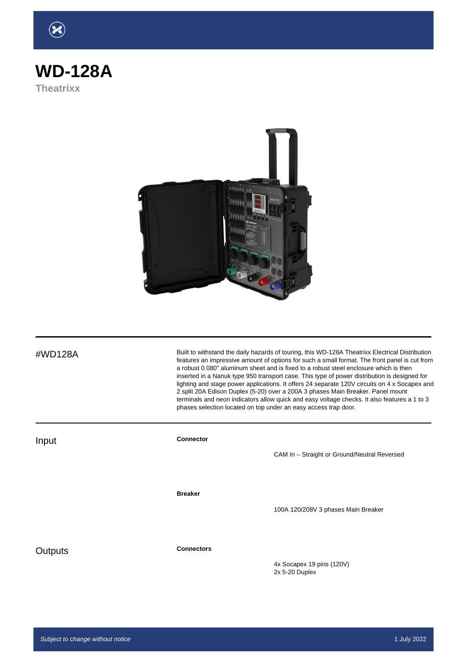## **WD-128A Theatrixx**



#WD128A Built to withstand the daily hazards of touring, this WD-128A Theatrixx Electrical Distribution features an impressive amount of options for such a small format. The front panel is cut from a robust 0.080" aluminum sheet and is fixed to a robust steel enclosure which is then inserted in a Nanuk type 950 transport case. This type of power distribution is designed for lighting and stage power applications. It offers 24 separate 120V circuits on 4 x Socapex and 2 split 20A Edison Duplex (5-20) over a 200A 3 phases Main Breaker. Panel mount terminals and neon indicators allow quick and easy voltage checks. It also features a 1 to 3 phases selection located on top under an easy access trap door.

**Input Connector** CAM In – Straight or Ground/Neutral Reversed **Breaker** 100A 120/208V 3 phases Main Breaker Outputs **Connectors** 4x Socapex 19 pins (120V)

2x 5-20 Duplex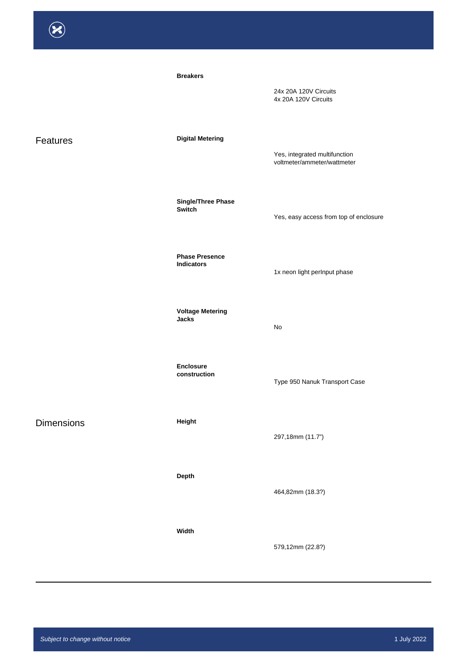|                   | <b>Breakers</b>                            | 24x 20A 120V Circuits<br>4x 20A 120V Circuits                |
|-------------------|--------------------------------------------|--------------------------------------------------------------|
| Features          | <b>Digital Metering</b>                    | Yes, integrated multifunction<br>voltmeter/ammeter/wattmeter |
|                   | <b>Single/Three Phase</b><br>Switch        | Yes, easy access from top of enclosure                       |
|                   | <b>Phase Presence</b><br><b>Indicators</b> | 1x neon light perInput phase                                 |
|                   | <b>Voltage Metering</b><br><b>Jacks</b>    | No                                                           |
|                   | <b>Enclosure</b><br>construction           | Type 950 Nanuk Transport Case                                |
| <b>Dimensions</b> | Height                                     | 297,18mm (11.7")                                             |
|                   | Depth                                      | 464,82mm (18.3?)                                             |

**Width**

579,12mm (22.8?)